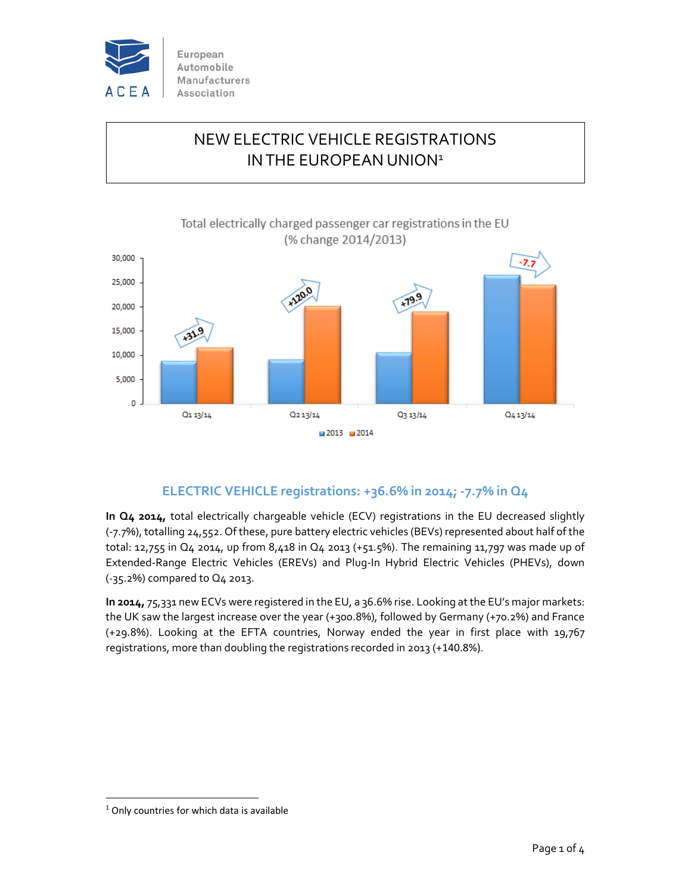

# NEW ELECTRIC VEHICLE REGISTRATIONS IN THE EUROPEAN UNION<sup>1</sup>



# **ELECTRIC VEHICLE registrations: +36.6% in 2014; ‐7.7% in Q4**

**In Q4 2014,** total electrically chargeable vehicle (ECV) registrations in the EU decreased slightly (‐7.7%), totalling 24,552. Of these, pure battery electric vehicles (BEVs) represented about half of the total: 12,755 in Q4 2014, up from 8,418 in Q4 2013 (+51.5%). The remaining 11,797 was made up of Extended‐Range Electric Vehicles (EREVs) and Plug‐In Hybrid Electric Vehicles (PHEVs), down (‐35.2%) compared to Q4 2013.

**In 2014,** 75,331 new ECVs were registered in the EU, a 36.6% rise. Looking at the EU's major markets: the UK saw the largest increase over the year (+300.8%), followed by Germany (+70.2%) and France (+29.8%). Looking at the EFTA countries, Norway ended the year in first place with 19,767 registrations, more than doubling the registrations recorded in 2013 (+140.8%).

<sup>&</sup>lt;sup>1</sup> Only countries for which data is available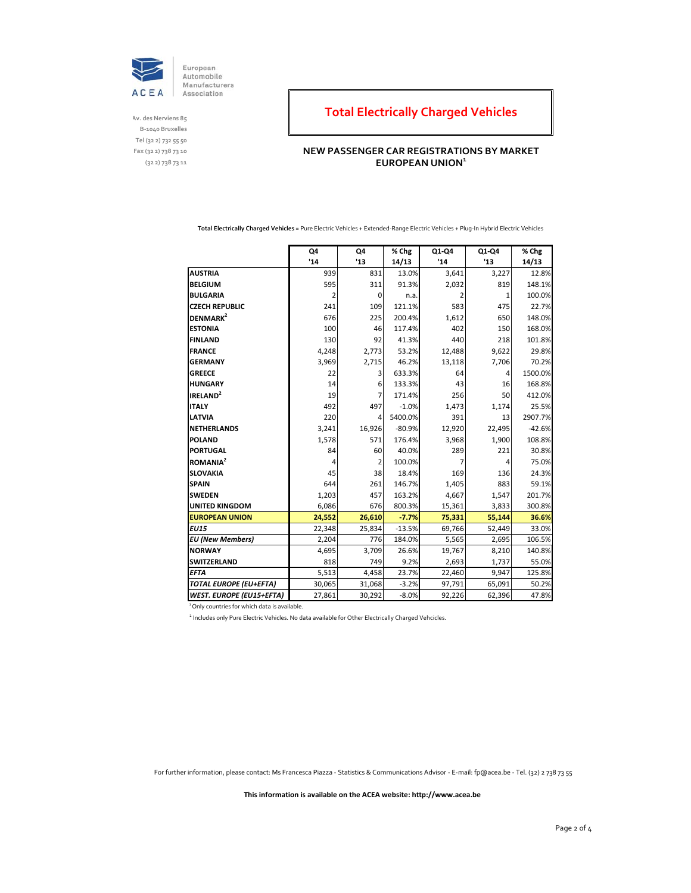

**Av. des Nerviens 85 B‐1040 Bruxelles Tel (32 2) 732 55 50 Fax (32 2) 738 73 10 (32 2) 738 73 11**

# **Total Electrically Charged Vehicles**

### **NEW PASSENGER CAR REGISTRATIONS BY MARKET EUROPEAN UNION<sup>1</sup>**

**Total Electrically Charged Vehicles** = Pure Electric Vehicles + Extended‐Range Electric Vehicles + Plug‐In Hybrid Electric Vehicles

|                                 | Q4     | Q4            | % Chg    | Q1-Q4  | Q1-Q4  | % Chg    |
|---------------------------------|--------|---------------|----------|--------|--------|----------|
|                                 | '14    | $^{\prime}13$ | 14/13    | '14    | '13    | 14/13    |
| <b>AUSTRIA</b>                  | 939    | 831           | 13.0%    | 3,641  | 3,227  | 12.8%    |
| <b>BELGIUM</b>                  | 595    | 311           | 91.3%    | 2,032  | 819    | 148.1%   |
| <b>BULGARIA</b>                 | 2      | 0             | n.a.     | 2      | 1      | 100.0%   |
| <b>CZECH REPUBLIC</b>           | 241    | 109           | 121.1%   | 583    | 475    | 22.7%    |
| DENMARK <sup>2</sup>            | 676    | 225           | 200.4%   | 1,612  | 650    | 148.0%   |
| <b>ESTONIA</b>                  | 100    | 46            | 117.4%   | 402    | 150    | 168.0%   |
| <b>FINLAND</b>                  | 130    | 92            | 41.3%    | 440    | 218    | 101.8%   |
| <b>FRANCE</b>                   | 4,248  | 2,773         | 53.2%    | 12,488 | 9,622  | 29.8%    |
| <b>GERMANY</b>                  | 3,969  | 2,715         | 46.2%    | 13,118 | 7,706  | 70.2%    |
| <b>GREECE</b>                   | 22     | 3             | 633.3%   | 64     | 4      | 1500.0%  |
| <b>HUNGARY</b>                  | 14     | 6             | 133.3%   | 43     | 16     | 168.8%   |
| IRELAND <sup>2</sup>            | 19     | 7             | 171.4%   | 256    | 50     | 412.0%   |
| <b>ITALY</b>                    | 492    | 497           | $-1.0%$  | 1,473  | 1,174  | 25.5%    |
| <b>LATVIA</b>                   | 220    | 4             | 5400.0%  | 391    | 13     | 2907.7%  |
| <b>NETHERLANDS</b>              | 3,241  | 16,926        | $-80.9%$ | 12,920 | 22,495 | $-42.6%$ |
| <b>POLAND</b>                   | 1,578  | 571           | 176.4%   | 3,968  | 1,900  | 108.8%   |
| <b>PORTUGAL</b>                 | 84     | 60            | 40.0%    | 289    | 221    | 30.8%    |
| <b>ROMANIA<sup>2</sup></b>      | 4      | 2             | 100.0%   |        | 4      | 75.0%    |
| <b>SLOVAKIA</b>                 | 45     | 38            | 18.4%    | 169    | 136    | 24.3%    |
| <b>SPAIN</b>                    | 644    | 261           | 146.7%   | 1,405  | 883    | 59.1%    |
| <b>SWEDEN</b>                   | 1,203  | 457           | 163.2%   | 4,667  | 1,547  | 201.7%   |
| <b>UNITED KINGDOM</b>           | 6,086  | 676           | 800.3%   | 15,361 | 3,833  | 300.8%   |
| <b>EUROPEAN UNION</b>           | 24,552 | 26,610        | $-7.7%$  | 75,331 | 55,144 | 36.6%    |
| <b>EU15</b>                     | 22,348 | 25,834        | $-13.5%$ | 69,766 | 52,449 | 33.0%    |
| <b>EU</b> (New Members)         | 2,204  | 776           | 184.0%   | 5,565  | 2,695  | 106.5%   |
| <b>NORWAY</b>                   | 4,695  | 3,709         | 26.6%    | 19,767 | 8,210  | 140.8%   |
| <b>SWITZERLAND</b>              | 818    | 749           | 9.2%     | 2,693  | 1,737  | 55.0%    |
| <b>EFTA</b>                     | 5,513  | 4,458         | 23.7%    | 22,460 | 9,947  | 125.8%   |
| <b>TOTAL EUROPE (EU+EFTA)</b>   | 30,065 | 31,068        | $-3.2%$  | 97,791 | 65,091 | 50.2%    |
| <b>WEST. EUROPE (EU15+EFTA)</b> | 27,861 | 30,292        | $-8.0%$  | 92,226 | 62,396 | 47.8%    |

<sup>1</sup> Only countries for which data is available.

<sup>2</sup> Includes only Pure Electric Vehicles. No data available for Other Electrically Charged Vehcicles.

For further information, please contact: Ms Francesca Piazza ‐ Statistics & Communications Advisor ‐ E‐mail: fp@acea.be ‐ Tel. (32) 2 738 73 55

**This information is available on the ACEA website: http://www.acea.be**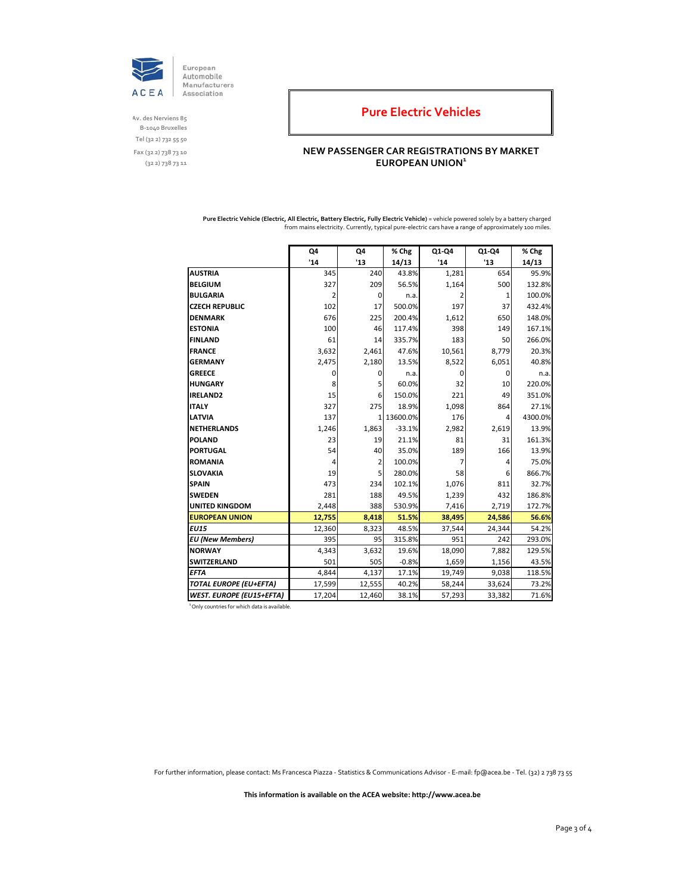

**Av. des Nerviens 85 B‐1040 Bruxelles Tel (32 2) 732 55 50 Fax (32 2) 738 73 10 (32 2) 738 73 11**

### **Pure Electric Vehicles**

### **NEW PASSENGER CAR REGISTRATIONS BY MARKET EUROPEAN UNION<sup>1</sup>**

**Pure Electric Vehicle (Electric, All Electric, Battery Electric, Fully Electric Vehicle)** = vehicle powered solely by a battery charged from mains electricity. Currently, typical pure-electric cars have a range of approximately 100 miles.

|                                 | Q4             | Q4             | % Chg    | Q1-Q4  | Q1-Q4          | % Chg   |
|---------------------------------|----------------|----------------|----------|--------|----------------|---------|
|                                 | '14            | $^{\prime}13$  | 14/13    | '14    | '13            | 14/13   |
| <b>AUSTRIA</b>                  | 345            | 240            | 43.8%    | 1,281  | 654            | 95.9%   |
| <b>BELGIUM</b>                  | 327            | 209            | 56.5%    | 1,164  | 500            | 132.8%  |
| <b>BULGARIA</b>                 | $\overline{2}$ | 0              | n.a.     |        | 1              | 100.0%  |
| <b>CZECH REPUBLIC</b>           | 102            | 17             | 500.0%   | 197    | 37             | 432.4%  |
| <b>DENMARK</b>                  | 676            | 225            | 200.4%   | 1,612  | 650            | 148.0%  |
| <b>ESTONIA</b>                  | 100            | 46             | 117.4%   | 398    | 149            | 167.1%  |
| <b>FINLAND</b>                  | 61             | 14             | 335.7%   | 183    | 50             | 266.0%  |
| <b>FRANCE</b>                   | 3,632          | 2,461          | 47.6%    | 10,561 | 8,779          | 20.3%   |
| <b>GERMANY</b>                  | 2,475          | 2,180          | 13.5%    | 8,522  | 6,051          | 40.8%   |
| <b>GREECE</b>                   | 0              | 0              | n.a.     | 0      | 0              | n.a.    |
| <b>HUNGARY</b>                  | 8              | 5              | 60.0%    | 32     | 10             | 220.0%  |
| IRELAND2                        | 15             | 6              | 150.0%   | 221    | 49             | 351.0%  |
| <b>ITALY</b>                    | 327            | 275            | 18.9%    | 1,098  | 864            | 27.1%   |
| <b>LATVIA</b>                   | 137            | 1              | 13600.0% | 176    | $\overline{4}$ | 4300.0% |
| <b>NETHERLANDS</b>              | 1,246          | 1,863          | $-33.1%$ | 2,982  | 2,619          | 13.9%   |
| <b>POLAND</b>                   | 23             | 19             | 21.1%    | 81     | 31             | 161.3%  |
| <b>PORTUGAL</b>                 | 54             | 40             | 35.0%    | 189    | 166            | 13.9%   |
| <b>ROMANIA</b>                  | 4              | $\overline{2}$ | 100.0%   |        | 4              | 75.0%   |
| <b>SLOVAKIA</b>                 | 19             | 5              | 280.0%   | 58     | 6              | 866.7%  |
| <b>SPAIN</b>                    | 473            | 234            | 102.1%   | 1,076  | 811            | 32.7%   |
| <b>SWEDEN</b>                   | 281            | 188            | 49.5%    | 1,239  | 432            | 186.8%  |
| <b>UNITED KINGDOM</b>           | 2,448          | 388            | 530.9%   | 7,416  | 2,719          | 172.7%  |
| <b>EUROPEAN UNION</b>           | 12,755         | 8,418          | 51.5%    | 38,495 | 24,586         | 56.6%   |
| <b>EU15</b>                     | 12,360         | 8,323          | 48.5%    | 37,544 | 24,344         | 54.2%   |
| <b>EU</b> (New Members)         | 395            | 95             | 315.8%   | 951    | 242            | 293.0%  |
| <b>NORWAY</b>                   | 4,343          | 3,632          | 19.6%    | 18,090 | 7,882          | 129.5%  |
| <b>SWITZERLAND</b>              | 501            | 505            | $-0.8%$  | 1,659  | 1,156          | 43.5%   |
| <b>EFTA</b>                     | 4,844          | 4,137          | 17.1%    | 19,749 | 9,038          | 118.5%  |
| <b>TOTAL EUROPE (EU+EFTA)</b>   | 17,599         | 12,555         | 40.2%    | 58,244 | 33,624         | 73.2%   |
| <b>WEST. EUROPE (EU15+EFTA)</b> | 17,204         | 12,460         | 38.1%    | 57,293 | 33,382         | 71.6%   |

<sup>1</sup> Only countries for which data is available.

For further information, please contact: Ms Francesca Piazza ‐ Statistics & Communications Advisor ‐ E‐mail: fp@acea.be ‐ Tel. (32) 2 738 73 55

**This information is available on the ACEA website: http://www.acea.be**